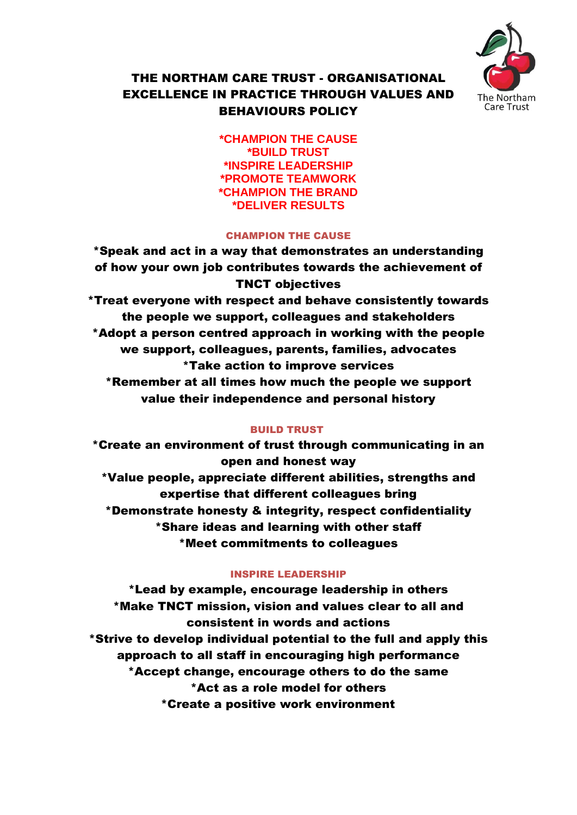

# THE NORTHAM CARE TRUST - ORGANISATIONAL EXCELLENCE IN PRACTICE THROUGH VALUES AND BEHAVIOURS POLICY

**\*CHAMPION THE CAUSE \*BUILD TRUST \*INSPIRE LEADERSHIP \*PROMOTE TEAMWORK \*CHAMPION THE BRAND \*DELIVER RESULTS**

## CHAMPION THE CAUSE

\*Speak and act in a way that demonstrates an understanding of how your own job contributes towards the achievement of TNCT objectives \*Treat everyone with respect and behave consistently towards the people we support, colleagues and stakeholders \*Adopt a person centred approach in working with the people we support, colleagues, parents, families, advocates \*Take action to improve services \*Remember at all times how much the people we support value their independence and personal history

## BUILD TRUST

\*Create an environment of trust through communicating in an open and honest way \*Value people, appreciate different abilities, strengths and expertise that different colleagues bring \*Demonstrate honesty & integrity, respect confidentiality \*Share ideas and learning with other staff \*Meet commitments to colleagues

## INSPIRE LEADERSHIP

\*Lead by example, encourage leadership in others \*Make TNCT mission, vision and values clear to all and consistent in words and actions \*Strive to develop individual potential to the full and apply this approach to all staff in encouraging high performance \*Accept change, encourage others to do the same \*Act as a role model for others \*Create a positive work environment